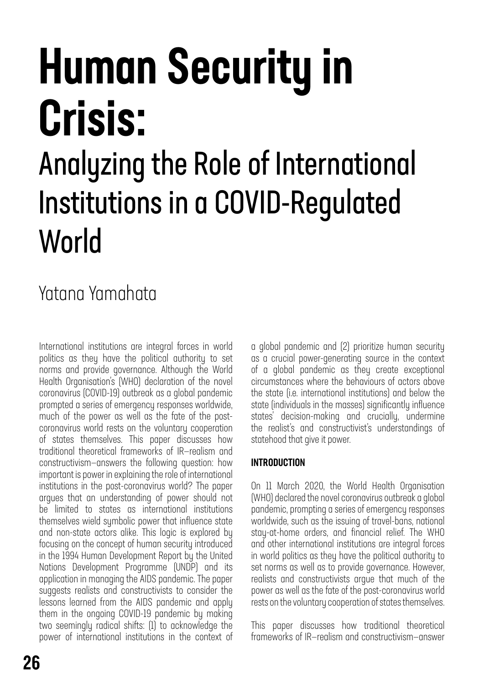# Human Security in Crisis:

## Analyzing the Role of International Institutions in a COVID-Regulated World

### Yatana Yamahata

International institutions are integral forces in world politics as they have the political authority to set norms and provide governance. Although the World Health Organisation's (WHO) declaration of the novel coronavirus (COVID-19) outbreak as a global pandemic prompted a series of emergency responses worldwide, much of the power as well as the fate of the postcoronavirus world rests on the voluntary cooperation of states themselves. This paper discusses how traditional theoretical frameworks of IR—realism and constructivism—answers the following question: how important is power in explaining the role of international institutions in the post-coronavirus world? The paper argues that an understanding of power should not be limited to states as international institutions themselves wield symbolic power that influence state and non-state actors alike. This logic is explored by focusing on the concept of human security introduced in the 1994 Human Development Report by the United Nations Development Programme (UNDP) and its application in managing the AIDS pandemic. The paper suggests realists and constructivists to consider the lessons learned from the AIDS pandemic and apply them in the ongoing COVID-19 pandemic by making two seemingly radical shifts: (1) to acknowledge the power of international institutions in the context of

a global pandemic and (2) prioritize human security as a crucial power-generating source in the context of a global pandemic as they create exceptional circumstances where the behaviours of actors above the state (i.e. international institutions) and below the state (individuals in the masses) significantly influence states' decision-making and crucially, undermine the realist's and constructivist's understandings of statehood that give it power.

### INTRODUCTION

On 11 March 2020, the World Health Organisation (WHO) declared the novel coronavirus outbreak a global pandemic, prompting a series of emergency responses worldwide, such as the issuing of travel-bans, national stay-at-home orders, and financial relief. The WHO and other international institutions are integral forces in world politics as they have the political authority to set norms as well as to provide governance. However, realists and constructivists argue that much of the power as well as the fate of the post-coronavirus world rests on the voluntary cooperation of states themselves.

This paper discusses how traditional theoretical frameworks of IR—realism and constructivism—answer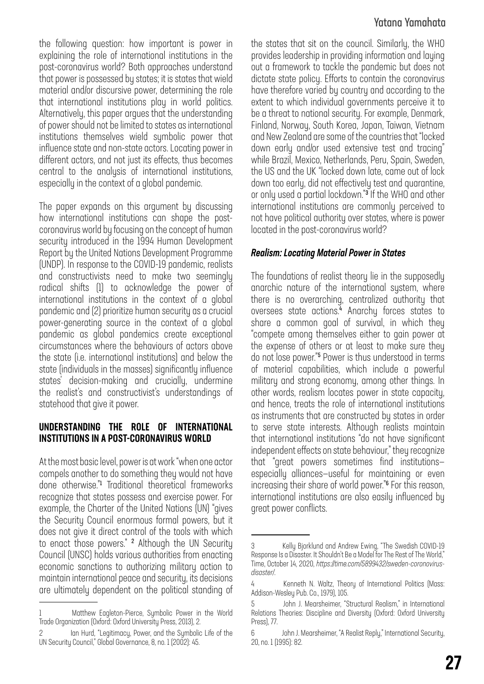### Yatana Yamahata

the following question: how important is power in explaining the role of international institutions in the post-coronavirus world? Both approaches understand that power is possessed by states; it is states that wield material and/or discursive power, determining the role that international institutions play in world politics. Alternatively, this paper argues that the understanding of power should not be limited to states as international institutions themselves wield symbolic power that influence state and non-state actors. Locating power in different actors, and not just its effects, thus becomes central to the analysis of international institutions, especially in the context of a global pandemic.

The paper expands on this argument by discussing how international institutions can shape the postcoronavirus world by focusing on the concept of human security introduced in the 1994 Human Development Report by the United Nations Development Programme (UNDP). In response to the COVID-19 pandemic, realists and constructivists need to make two seemingly radical shifts (1) to acknowledge the power of international institutions in the context of a global pandemic and (2) prioritize human security as a crucial power-generating source in the context of a global pandemic as global pandemics create exceptional circumstances where the behaviours of actors above the state (i.e. international institutions) and below the state (individuals in the masses) significantly influence states' decision-making and crucially, undermine the realist's and constructivist's understandings of statehood that give it power.

#### UNDERSTANDING THE ROLE OF INTERNATIONAL INSTITUTIONS IN A POST-CORONAVIRUS WORLD

At the most basic level, power is at work "when one actor compels another to do something they would not have done otherwise."<sup>1</sup> Traditional theoretical frameworks recognize that states possess and exercise power. For example, the Charter of the United Nations (UN) "gives the Security Council enormous formal powers, but it does not give it direct control of the tools with which to enact those powers." <sup>2</sup> Although the UN Security Council (UNSC) holds various authorities from enacting economic sanctions to authorizing military action to maintain international peace and security, its decisions are ultimately dependent on the political standing of the states that sit on the council. Similarly, the WHO provides leadership in providing information and laying out a framework to tackle the pandemic but does not dictate state policy. Efforts to contain the coronavirus have therefore varied by country and according to the extent to which individual governments perceive it to be a threat to national security. For example, Denmark, Finland, Norway, South Korea, Japan, Taiwan, Vietnam and New Zealand are some of the countries that "locked down early and/or used extensive test and tracing" while Brazil, Mexico, Netherlands, Peru, Spain, Sweden, the US and the UK "locked down late, came out of lock down too early, did not effectively test and quarantine, or only used a partial lockdown."<sup>3</sup> If the WHO and other international institutions are commonly perceived to not have political authority over states, where is power located in the post-coronavirus world?

### *Realism: Locating Material Power in States*

The foundations of realist theory lie in the supposedly anarchic nature of the international system, where there is no overarching, centralized authority that oversees state actions.<sup>4</sup> Anarchy forces states to share a common goal of survival, in which they "compete among themselves either to gain power at the expense of others or at least to make sure they do not lose power."<sup>5</sup> Power is thus understood in terms of material capabilities, which include a powerful military and strong economy, among other things. In other words, realism locates power in state capacity, and hence, treats the role of international institutions as instruments that are constructed by states in order to serve state interests. Although realists maintain that international institutions "do not have significant independent effects on state behaviour," they recognize that "great powers sometimes find institutions especially alliances—useful for maintaining or even increasing their share of world power."<sup>6</sup> For this reason, international institutions are also easily influenced by great power conflicts.

<sup>1</sup> Matthew Eagleton-Pierce, Symbolic Power in the World Trade Organization (Oxford: Oxford University Press, 2013), 2.

Ian Hurd, "Legitimacy, Power, and the Symbolic Life of the UN Security Council," Global Governance, 8, no. 1 (2002): 45.

<sup>3</sup> Kelly Bjorklund and Andrew Ewing, "The Swedish COVID-19 Response Is a Disaster. It Shouldn't Be a Model for The Rest of The World," Time, October 14, 2020, *[https://time.com/5899432/sweden-coronovirus](https://time.com/5899432/sweden-coronovirus-disaster/)[disaster/](https://time.com/5899432/sweden-coronovirus-disaster/)*.

<sup>4</sup> Kenneth N. Waltz, Theory of International Politics (Mass: Addison-Wesley Pub. Co., 1979), 105.

<sup>5</sup> John J. Mearsheimer, "Structural Realism," in International Relations Theories: Discipline and Diversity (Oxford: Oxford University Press), 77.

<sup>6</sup> John J. Mearsheimer, "A Realist Reply," International Security, 20, no. 1 (1995): 82.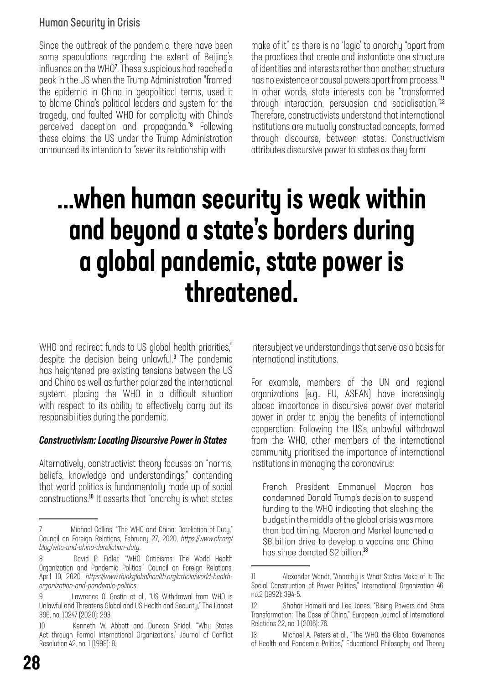### Human Security in Crisis

Since the outbreak of the pandemic, there have been some speculations regarding the extent of Beijing's influence on the WHO<sup>7</sup> . These suspicious had reached a peak in the US when the Trump Administration "framed the epidemic in China in geopolitical terms, used it to blame China's political leaders and system for the tragedy, and faulted WHO for complicity with China's perceived deception and propaganda."<sup>8</sup> Following these claims, the US under the Trump Administration announced its intention to "sever its relationship with

make of it" as there is no 'logic' to anarchy "apart from the practices that create and instantiate one structure of identities and interests rather than another; structure has no existence or causal powers apart from process."11 In other words, state interests can be "transformed through interaction, persuasion and socialisation."<sup>12</sup> Therefore, constructivists understand that international institutions are mutually constructed concepts, formed through discourse, between states. Constructivism attributes discursive power to states as they form

### ...when human security is weak within and beyond a state's borders during a global pandemic, state power is threatened.

WHO and redirect funds to US global health priorities," despite the decision being unlawful.<sup>9</sup> The pandemic has heightened pre-existing tensions between the US and China as well as further polarized the international system, placing the WHO in a difficult situation with respect to its ability to effectively carry out its responsibilities during the pandemic.

### *Constructivism: Locating Discursive Power in States*

Alternatively, constructivist theory focuses on "norms, beliefs, knowledge and understandings," contending that world politics is fundamentally made up of social constructions.<sup>10</sup> It asserts that "anarchy is what states intersubjective understandings that serve as a basis for international institutions.

For example, members of the UN and regional organizations (e.g., EU, ASEAN) have increasingly placed importance in discursive power over material power in order to enjoy the benefits of international cooperation. Following the US's unlawful withdrawal from the WHO, other members of the international community prioritised the importance of international institutions in managing the coronavirus:

French President Emmanuel Macron has condemned Donald Trump's decision to suspend funding to the WHO indicating that slashing the budget in the middle of the global crisis was more than bad timing. Macron and Merkel launched a \$8 billion drive to develop a vaccine and China has since donated \$2 billion.<sup>13</sup>

<sup>7</sup> Michael Collins, "The WHO and China: Dereliction of Duty," Council on Foreign Relations, February 27, 2020, *[https://www.cfr.org/](https://www.cfr.org/blog/who-and-china-dereliction-duty) [blog/who-and-china-dereliction-duty](https://www.cfr.org/blog/who-and-china-dereliction-duty)*.

David P. Fidler, "WHO Criticisms: The World Health Organization and Pandemic Politics," Council on Foreign Relations, April 10, 2020, *[https://www.thinkglobalhealth.org/article/world-health](https://www.thinkglobalhealth.org/article/world-health-organization-and-pandemic-politics)[organization-and-pandemic-politics](https://www.thinkglobalhealth.org/article/world-health-organization-and-pandemic-politics)*.

<sup>9</sup> Lawrence O. Gostin et al., "US Withdrawal from WHO is Unlawful and Threatens Global and US Health and Security," The Lancet 396, no. 10247 (2020): 293.

<sup>10</sup> Kenneth W. Abbott and Duncan Snidal, "Why States Act through Formal International Organizations," Journal of Conflict Resolution 42, no. 1 (1998): 8.

<sup>11</sup> Alexander Wendt, "Anarchy is What States Make of It: The Social Construction of Power Politics," International Organization 46, no.2 (1992): 394-5.

<sup>12</sup> Shahar Hameiri and Lee Jones, "Rising Powers and State Transformation: The Case of China," European Journal of International Relations 22, no. 1 (2016): 76.

<sup>13</sup> Michael A. Peters et al., "The WHO, the Global Governance of Health and Pandemic Politics," Educational Philosophy and Theory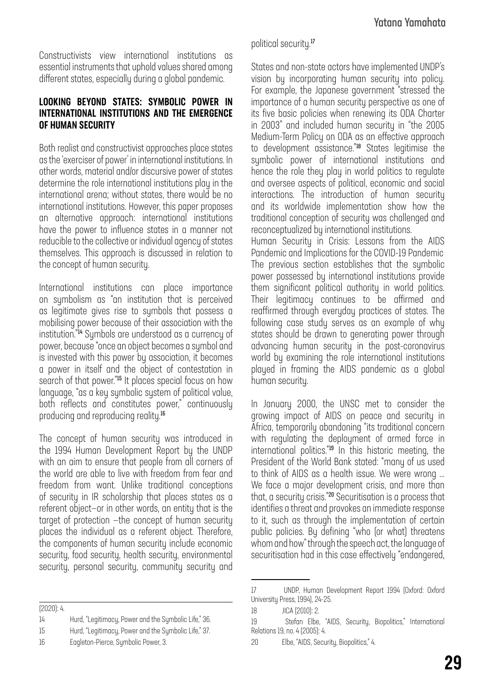Constructivists view international institutions as essential instruments that uphold values shared among different states, especially during a global pandemic.

#### LOOKING BEYOND STATES: SYMBOLIC POWER IN INTERNATIONAL INSTITUTIONS AND THE EMERGENCE OF HUMAN SECURITY

Both realist and constructivist approaches place states as the 'exerciser of power' in international institutions. In other words, material and/or discursive power of states determine the role international institutions play in the international arena; without states, there would be no international institutions. However, this paper proposes an alternative approach: international institutions have the power to influence states in a manner not reducible to the collective or individual agency of states themselves. This approach is discussed in relation to the concept of human security.

International institutions can place importance on sumbolism as "an institution that is perceived as legitimate gives rise to symbols that possess a mobilising power because of their association with the institution."<sup>14</sup> Symbols are understood as a currency of power, because "once an object becomes a symbol and is invested with this power by association, it becomes a power in itself and the object of contestation in search of that power."<sup>15</sup> It places special focus on how language, "as a key symbolic system of political value, both reflects and constitutes power," continuously producing and reproducing reality.<sup>16</sup>

The concept of human security was introduced in the 1994 Human Development Report by the UNDP with an aim to ensure that people from all corners of the world are able to live with freedom from fear and freedom from want. Unlike traditional conceptions of security in IR scholarship that places states as a referent object—or in other words, an entity that is the target of protection —the concept of human security places the individual as a referent object. Therefore, the components of human security include economic security, food security, health security, environmental security, personal security, community security and

(2020): 4.

- 14 Hurd, "Legitimacy, Power and the Symbolic Life," 36.
- 15 Hurd, "Legitimacy, Power and the Symbolic Life," 37.
- 16 Eagleton-Pierce, Symbolic Power, 3.

political security.<sup>17</sup>

States and non-state actors have implemented UNDP's vision by incorporating human security into policy. For example, the Japanese government "stressed the importance of a human security perspective as one of its five basic policies when renewing its ODA Charter in 2003" and included human security in "the 2005 Medium-Term Policy on ODA as an effective approach to development assistance."<sup>18</sup> States legitimise the symbolic power of international institutions and hence the role they play in world politics to regulate and oversee aspects of political, economic and social interactions. The introduction of human security and its worldwide implementation show how the traditional conception of security was challenged and reconceptualized by international institutions.

Human Security in Crisis: Lessons from the AIDS Pandemic and Implications for the COVID-19 Pandemic The previous section establishes that the symbolic power possessed by international institutions provide them significant political authority in world politics. Their legitimacy continues to be affirmed and reaffirmed through everyday practices of states. The following case study serves as an example of why states should be drawn to generating power through advancing human security in the post-coronavirus world by examining the role international institutions played in framing the AIDS pandemic as a global human security.

In January 2000, the UNSC met to consider the growing impact of AIDS on peace and security in Africa, temporarily abandoning "its traditional concern with regulating the deployment of armed force in international politics."<sup>19</sup> In this historic meeting, the President of the World Bank stated: "many of us used to think of AIDS as a health issue. We were wrong ... We face a major development crisis, and more than that, a security crisis."<sup>20</sup> Securitisation is a process that identifies a threat and provokes an immediate response to it, such as through the implementation of certain public policies. By defining "who (or what) threatens whom and how" through the speech act, the language of securitisation had in this case effectively "endangered,

<sup>17</sup> UNDP, Human Development Report 1994 (Oxford: Oxford University Press, 1994), 24-25.

<sup>18</sup> JICA (2010): 2.

<sup>19</sup> Stefan Elbe, "AIDS, Security, Biopolitics," International Relations 19, no. 4 (2005): 4.

<sup>20</sup> Elbe, "AIDS, Security, Biopolitics," 4.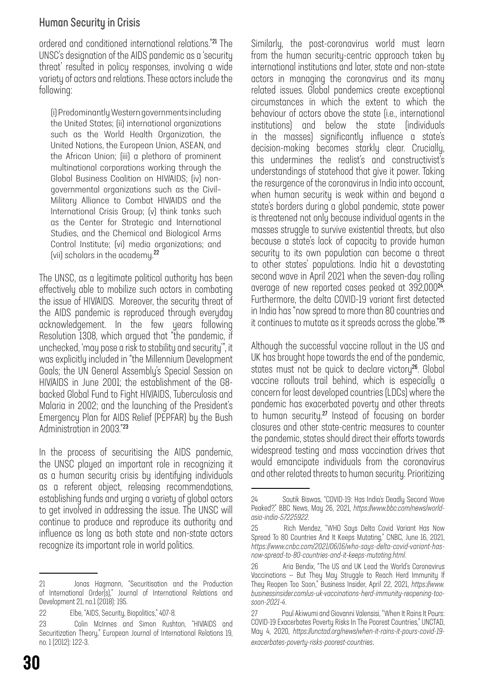### Human Security in Crisis

ordered and conditioned international relations."<sup>21</sup> The UNSC's designation of the AIDS pandemic as a 'security threat' resulted in policy responses, involving a wide variety of actors and relations. These actors include the following:

(i) Predominantly Western governments including the United States; (ii) international organizations such as the World Health Organization, the United Nations, the European Union, ASEAN, and the African Union; (iii) a plethora of prominent multinational corporations working through the Global Business Coalition on HIV/AIDS; (iv) nongovernmental organizations such as the Civil– Military Alliance to Combat HIV/AIDS and the International Crisis Group; (v) think tanks such as the Center for Strategic and International Studies, and the Chemical and Biological Arms Control Institute; (vi) media organizations; and (vii) scholars in the academy.<sup>22</sup>

The UNSC, as a legitimate political authority has been effectively able to mobilize such actors in combating the issue of HIV/AIDS. Moreover, the security threat of the AIDS pandemic is reproduced through everyday acknowledgement. In the few years following Resolution 1308, which argued that "the pandemic, if unchecked, 'may pose a risk to stability and security'", it was explicitly included in "the Millennium Development Goals; the UN General Assembly's Special Session on HIV/AIDS in June 2001; the establishment of the G8 backed Global Fund to Fight HIV/AIDS, Tuberculosis and Malaria in 2002; and the launching of the President's Emergency Plan for AIDS Relief (PEPFAR) by the Bush Administration in 2003."<sup>23</sup>

In the process of securitising the AIDS pandemic, the UNSC played an important role in recognizing it as a human securitu crisis bu identifuing individuals as a referent object, releasing recommendations, establishing funds and urging a variety of global actors to get involved in addressing the issue. The UNSC will continue to produce and reproduce its authority and influence as long as both state and non-state actors recognize its important role in world politics.

Similarly, the post-coronavirus world must learn from the human security-centric approach taken by international institutions and later, state and non-state actors in managing the coronavirus and its many related issues. Global pandemics create exceptional circumstances in which the extent to which the behaviour of actors above the state (i.e., international institutions) and below the state (individuals in the masses) significantly influence a state's decision-making becomes starkly clear. Crucially, this undermines the realist's and constructivist's understandings of statehood that give it power. Taking the resurgence of the coronavirus in India into account, when human security is weak within and beyond a state's borders during a global pandemic, state power is threatened not only because individual agents in the masses struggle to survive existential threats, but also because a state's lack of capacity to provide human security to its own population can become a threat to other states' populations. India hit a devastating second wave in April 2021 when the seven-day rolling average of new reported cases peaked at 392,000<sup>24</sup>. Furthermore, the delta COVID-19 variant first detected in India has "now spread to more than 80 countries and it continues to mutate as it spreads across the globe."<sup>25</sup>

Although the successful vaccine rollout in the US and UK has brought hope towards the end of the pandemic, states must not be quick to declare victory<sup>26</sup>. Global vaccine rollouts trail behind, which is especially a concern for least developed countries (LDCs) where the pandemic has exacerbated poverty and other threats to human security.<sup>27</sup> Instead of focusing on border closures and other state-centric measures to counter the pandemic, states should direct their efforts towards widespread testing and mass vaccination drives that would emancipate individuals from the coronavirus and other related threats to human security. Prioritizing

<sup>21</sup> Jonas Hagmann, "Securitisation and the Production of International Order(s)," Journal of International Relations and Development 21, no.1 (2018): 195.

<sup>22</sup> Elbe, "AIDS, Security, Biopolitics," 407-8.

<sup>23</sup> Colin McInnes and Simon Rushton, "HIV/AIDS and Securitization Theory," European Journal of International Relations 19, no. 1 (2012): 122-3.

<sup>24</sup> Soutik Biswas, "COVID-19: Has India's Deadly Second Wave Peaked?," BBC News, May 26, 2021, *[https://www.bbc.com/news/world](https://www.bbc.com/news/world-asia-india-57225922)[asia-india-57225922](https://www.bbc.com/news/world-asia-india-57225922)*.

<sup>25</sup> Rich Mendez, "WHO Says Delta Covid Variant Has Now Spread To 80 Countries And It Keeps Mutating," CNBC, June 16, 2021, *[https://www.cnbc.com/2021/06/16/who-says-delta-covid-variant-has](https://www.cnbc.com/2021/06/16/who-says-delta-covid-variant-has-now-spread-to-80-countries-and-it-keeps-mutating.html)[now-spread-to-80-countries-and-it-keeps-mutating.html](https://www.cnbc.com/2021/06/16/who-says-delta-covid-variant-has-now-spread-to-80-countries-and-it-keeps-mutating.html)*.

<sup>26</sup> Aria Bendix, "The US and UK Lead the World's Coronavirus Vaccinations — But They May Struggle to Reach Herd Immunity If They Reopen Too Soon," Business Insider, April 22, 2021, *[https://www.](https://www.businessinsider.com/us-uk-vaccinations-herd-immunity-reopening-too-soon-2021-4) [businessinsider.com/us-uk-vaccinations-herd-immunity-reopening-too](https://www.businessinsider.com/us-uk-vaccinations-herd-immunity-reopening-too-soon-2021-4)[soon-2021-4](https://www.businessinsider.com/us-uk-vaccinations-herd-immunity-reopening-too-soon-2021-4)*.

<sup>27</sup> Paul Akiwumi and Giovanni Valensisi, "When It Rains It Pours: COVID-19 Exacerbates Poverty Risks In The Poorest Countries," UNCTAD, May 4, 2020, *[https://unctad.org/news/when-it-rains-it-pours-covid-19](https://unctad.org/news/when-it-rains-it-pours-covid-19-exacerbates-poverty-risks-poorest-countries) [exacerbates-poverty-risks-poorest-countries](https://unctad.org/news/when-it-rains-it-pours-covid-19-exacerbates-poverty-risks-poorest-countries)*.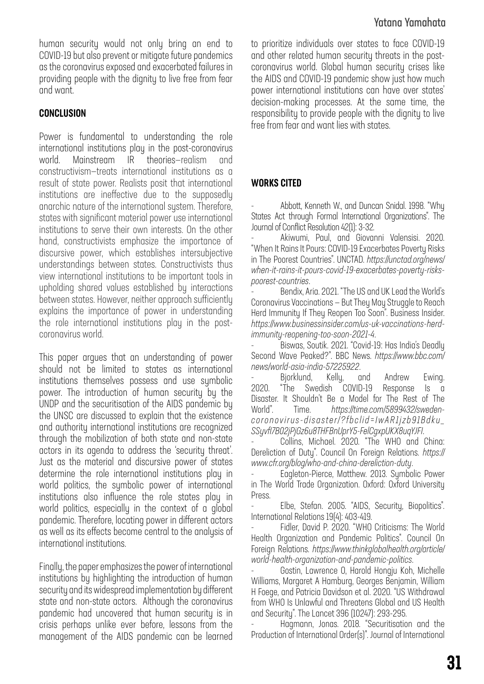human security would not only bring an end to COVID-19 but also prevent or mitigate future pandemics as the coronavirus exposed and exacerbated failures in providing people with the dignity to live free from fear and want.

### **CONCLUSION**

Power is fundamental to understanding the role international institutions play in the post-coronavirus world. Mainstream IR theories—realism and constructivism—treats international institutions as a result of state power. Realists posit that international institutions are ineffective due to the supposedly anarchic nature of the international system. Therefore, states with significant material power use international institutions to serve their own interests. On the other hand, constructivists emphasize the importance of discursive power, which establishes intersubjective understandings between states. Constructivists thus view international institutions to be important tools in upholding shared values established by interactions between states. However, neither approach sufficiently explains the importance of power in understanding the role international institutions play in the postcoronavirus world.

This paper argues that an understanding of power should not be limited to states as international institutions themselves possess and use symbolic power. The introduction of human security by the UNDP and the securitisation of the AIDS pandemic by the UNSC are discussed to explain that the existence and authority international institutions are recognized through the mobilization of both state and non-state actors in its agenda to address the 'security threat'. Just as the material and discursive power of states determine the role international institutions play in world politics, the sumbolic power of international institutions also influence the role states play in world politics, especially in the context of a global pandemic. Therefore, locating power in different actors as well as its effects become central to the analysis of international institutions.

Finally, the paper emphasizes the power of international institutions by highlighting the introduction of human security and its widespread implementation by different state and non-state actors. Although the coronavirus pandemic had uncovered that human security is in crisis perhaps unlike ever before, lessons from the management of the AIDS pandemic can be learned

### Yatana Yamahata

to prioritize individuals over states to face COVID-19 and other related human security threats in the postcoronavirus world. Global human security crises like the AIDS and COVID-19 pandemic show just how much power international institutions can have over states' decision-making processes. At the same time, the responsibility to provide people with the dignity to live free from fear and want lies with states.

### WORKS CITED

- Abbott, Kenneth W., and Duncan Snidal. 1998. "Why States Act through Formal International Organizations". The Journal of Conflict Resolution 42(1): 3-32.

Akiwumi, Paul, and Giovanni Valensisi. 2020. "When It Rains It Pours: COVID-19 Exacerbates Poverty Risks in The Poorest Countries". UNCTAD. *[https://unctad.org/news/](https://unctad.org/news/when-it-rains-it-pours-covid-19-exacerbates-poverty-risks-poorest-countries) [when-it-rains-it-pours-covid-19-exacerbates-poverty-risks](https://unctad.org/news/when-it-rains-it-pours-covid-19-exacerbates-poverty-risks-poorest-countries)[poorest-countries](https://unctad.org/news/when-it-rains-it-pours-covid-19-exacerbates-poverty-risks-poorest-countries)*.

Bendix, Aria. 2021. "The US and UK Lead the World's Coronavirus Vaccinations — But They May Struggle to Reach Herd Immunity If They Reopen Too Soon". Business Insider. *[https://www.businessinsider.com/us-uk-vaccinations-herd](https://www.businessinsider.com/us-uk-vaccinations-herd-immunity-reopening-too-soon-2021-4)[immunity-reopening-too-soon-2021-4](https://www.businessinsider.com/us-uk-vaccinations-herd-immunity-reopening-too-soon-2021-4)*.

- Biswas, Soutik. 2021. "Covid-19: Has India's Deadly Second Wave Peaked?". BBC News. *[https://www.bbc.com/](https://www.bbc.com/news/world-asia-india-57225922) [news/world-asia-india-57225922](https://www.bbc.com/news/world-asia-india-57225922)*.

Bjorklund, Kelly, and Andrew Ewing. 2020. "The Swedish COVID-19 Response Is a Disaster. It Shouldn't Be a Model for The Rest of The World". Time. *[https://time.com/5899432/sweden](https://time.com/5899432/sweden-coronovirus-disaster/?fbclid=IwAR1jzb91Bdku_SSyvfI7B02jPjGz6u8THFBnUprY5-FelCgxpUKX8uqYJFI)[coronovirus-disaster/?fbclid=IwAR1jzb91Bdku\\_](https://time.com/5899432/sweden-coronovirus-disaster/?fbclid=IwAR1jzb91Bdku_SSyvfI7B02jPjGz6u8THFBnUprY5-FelCgxpUKX8uqYJFI) [SSyvfI7B02jPjGz6u8THFBnUprY5-FelCgxpUKX8uqYJFI](https://time.com/5899432/sweden-coronovirus-disaster/?fbclid=IwAR1jzb91Bdku_SSyvfI7B02jPjGz6u8THFBnUprY5-FelCgxpUKX8uqYJFI)*.

Collins, Michael. 2020. "The WHO and China: Dereliction of Duty". Council On Foreign Relations. *[https://](https://www.cfr.org/blog/who-and-china-dereliction-duty) [www.cfr.org/blog/who-and-china-dereliction-duty](https://www.cfr.org/blog/who-and-china-dereliction-duty)*.

Eagleton-Pierce, Matthew. 2013. Symbolic Power in The World Trade Organization. Oxford: Oxford University Press.

- Elbe, Stefan. 2005. "AIDS, Security, Biopolitics". International Relations 19(4): 403-419.

- Fidler, David P. 2020. "WHO Criticisms: The World Health Organization and Pandemic Politics". Council On Foreign Relations. *[https://www.thinkglobalhealth.org/article/](https://www.thinkglobalhealth.org/article/world-health-organization-and-pandemic-politics) [world-health-organization-and-pandemic-politics](https://www.thinkglobalhealth.org/article/world-health-organization-and-pandemic-politics)*.

Gostin, Lawrence O, Harold Hongju Koh, Michelle Williams, Margaret A Hamburg, Georges Benjamin, William H Foege, and Patricia Davidson et al. 2020. "US Withdrawal from WHO Is Unlawful and Threatens Global and US Health and Security". The Lancet 396 (10247): 293-295.

- Hagmann, Jonas. 2018. "Securitisation and the Production of International Order(s)". Journal of International